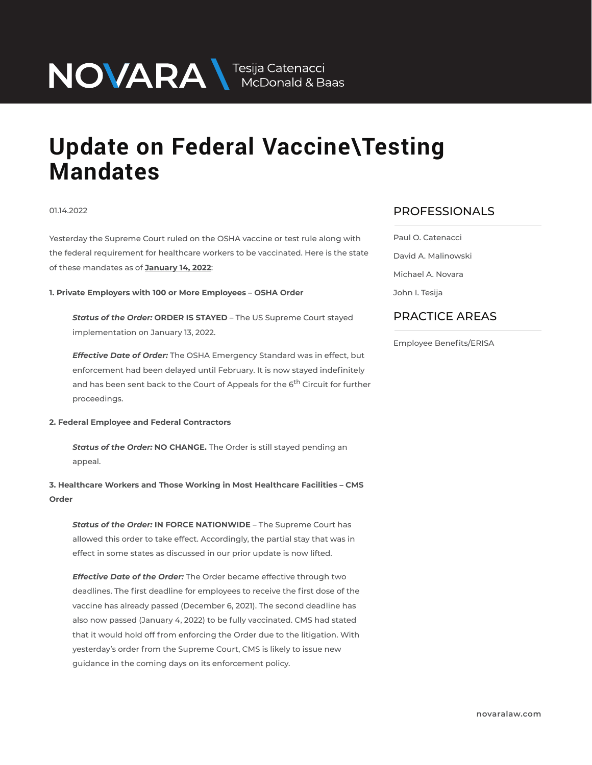NOVARA MEDOnald & Baas

## **Update on Federal Vaccine\Testing Mandates**

#### 01.14.2022

Yesterday the Supreme Court ruled on the OSHA vaccine or test rule along with the federal requirement for healthcare workers to be vaccinated. Here is the state of these mandates as of **January 14, 2022**:

**1. Private Employers with 100 or More Employees – OSHA Order**

*Status of the Order:* **ORDER IS STAYED** – The US Supreme Court stayed implementation on January 13, 2022.

*Effective Date of Order:* The OSHA Emergency Standard was in effect, but enforcement had been delayed until February. It is now stayed indefinitely and has been sent back to the Court of Appeals for the 6<sup>th</sup> Circuit for further proceedings.

#### **2. Federal Employee and Federal Contractors**

*Status of the Order:* **NO CHANGE.** The Order is still stayed pending an appeal.

### **3. Healthcare Workers and Those Working in Most Healthcare Facilities – CMS Order**

*Status of the Order:* **IN FORCE NATIONWIDE** – The Supreme Court has allowed this order to take effect. Accordingly, the partial stay that was in effect in some states as discussed in our prior update is now lifted.

*Effective Date of the Order:* The Order became effective through two deadlines. The first deadline for employees to receive the first dose of the vaccine has already passed (December 6, 2021). The second deadline has also now passed (January 4, 2022) to be fully vaccinated. CMS had stated that it would hold off from enforcing the Order due to the litigation. With yesterday's order from the Supreme Court, CMS is likely to issue new guidance in the coming days on its enforcement policy.

#### PROFESSIONALS  $\overline{\phantom{a}}$

Paul O. Catenacci David A. Malinowski Michael A. Novara John I. Tesija

#### PRACTICE AREAS  $\overline{\phantom{a}}$

Employee Benefits/ERISA